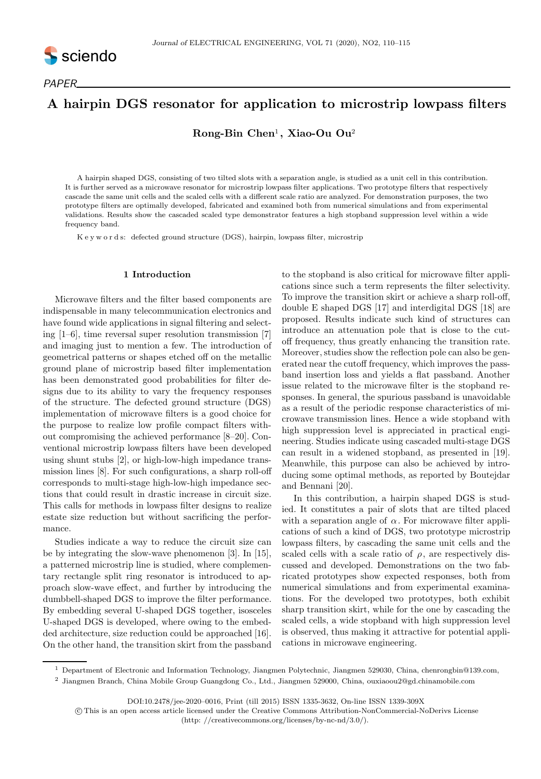

# A hairpin DGS resonator for application to microstrip lowpass filters

 $\bf{Rong-Bin}$   $\bf{Chen^1, \ Xiao-Ou \ Ou^2}$ 

A hairpin shaped DGS, consisting of two tilted slots with a separation angle, is studied as a unit cell in this contribution. It is further served as a microwave resonator for microstrip lowpass filter applications. Two prototype filters that respectively cascade the same unit cells and the scaled cells with a different scale ratio are analyzed. For demonstration purposes, the two prototype filters are optimally developed, fabricated and examined both from numerical simulations and from experimental validations. Results show the cascaded scaled type demonstrator features a high stopband suppression level within a wide frequency band.

K e y w o r d s: defected ground structure (DGS), hairpin, lowpass filter, microstrip

#### 1 Introduction

Microwave filters and the filter based components are indispensable in many telecommunication electronics and have found wide applications in signal filtering and selecting [1–6], time reversal super resolution transmission [7] and imaging just to mention a few. The introduction of geometrical patterns or shapes etched off on the metallic ground plane of microstrip based filter implementation has been demonstrated good probabilities for filter designs due to its ability to vary the frequency responses of the structure. The defected ground structure (DGS) implementation of microwave filters is a good choice for the purpose to realize low profile compact filters without compromising the achieved performance [8–20]. Conventional microstrip lowpass filters have been developed using shunt stubs [2], or high-low-high impedance transmission lines [8]. For such configurations, a sharp roll-off corresponds to multi-stage high-low-high impedance sections that could result in drastic increase in circuit size. This calls for methods in lowpass filter designs to realize estate size reduction but without sacrificing the performance.

Studies indicate a way to reduce the circuit size can be by integrating the slow-wave phenomenon [3]. In [15], a patterned microstrip line is studied, where complementary rectangle split ring resonator is introduced to approach slow-wave effect, and further by introducing the dumbbell-shaped DGS to improve the filter performance. By embedding several U-shaped DGS together, isosceles U-shaped DGS is developed, where owing to the embedded architecture, size reduction could be approached [16]. On the other hand, the transition skirt from the passband

to the stopband is also critical for microwave filter applications since such a term represents the filter selectivity. To improve the transition skirt or achieve a sharp roll-off, double E shaped DGS [17] and interdigital DGS [18] are proposed. Results indicate such kind of structures can introduce an attenuation pole that is close to the cutoff frequency, thus greatly enhancing the transition rate. Moreover, studies show the reflection pole can also be generated near the cutoff frequency, which improves the passband insertion loss and yields a flat passband. Another issue related to the microwave filter is the stopband responses. In general, the spurious passband is unavoidable as a result of the periodic response characteristics of microwave transmission lines. Hence a wide stopband with high suppression level is appreciated in practical engineering. Studies indicate using cascaded multi-stage DGS can result in a widened stopband, as presented in [19]. Meanwhile, this purpose can also be achieved by introducing some optimal methods, as reported by Boutejdar and Bennani [20].

In this contribution, a hairpin shaped DGS is studied. It constitutes a pair of slots that are tilted placed with a separation angle of  $\alpha$ . For microwave filter applications of such a kind of DGS, two prototype microstrip lowpass filters, by cascading the same unit cells and the scaled cells with a scale ratio of  $\rho$ , are respectively discussed and developed. Demonstrations on the two fabricated prototypes show expected responses, both from numerical simulations and from experimental examinations. For the developed two prototypes, both exhibit sharp transition skirt, while for the one by cascading the scaled cells, a wide stopband with high suppression level is observed, thus making it attractive for potential applications in microwave engineering.

<sup>1</sup> Department of Electronic and Information Technology, Jiangmen Polytechnic, Jiangmen 529030, China, chenrongbin@139.com, <sup>2</sup> Jiangmen Branch, China Mobile Group Guangdong Co., Ltd., Jiangmen 529000, China, ouxiaoou2@gd.chinamobile.com

DOI:10.2478/jee-2020–0016, Print (till 2015) ISSN 1335-3632, On-line ISSN 1339-309X

c This is an open access article licensed under the Creative Commons Attribution-NonCommercial-NoDerivs License (http: //creativecommons.org/licenses/by-nc-nd/3.0/).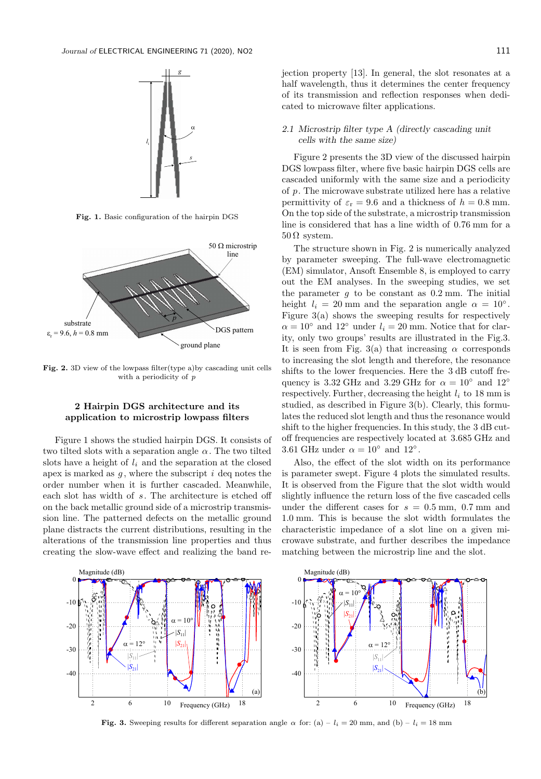

Fig. 1. Basic configuration of the hairpin DGS



Fig. 2. 3D view of the lowpass filter(type a)by cascading unit cells with a periodicity of p

## 2 Hairpin DGS architecture and its application to microstrip lowpass filters

Figure 1 shows the studied hairpin DGS. It consists of two tilted slots with a separation angle  $\alpha$ . The two tilted slots have a height of  $l_i$  and the separation at the closed apex is marked as  $g$ , where the subscript  $i$  deq notes the order number when it is further cascaded. Meanwhile, each slot has width of s. The architecture is etched off on the back metallic ground side of a microstrip transmission line. The patterned defects on the metallic ground plane distracts the current distributions, resulting in the alterations of the transmission line properties and thus creating the slow-wave effect and realizing the band rejection property [13]. In general, the slot resonates at a half wavelength, thus it determines the center frequency of its transmission and reflection responses when dedicated to microwave filter applications.

## 2.1 Microstrip filter type A (directly cascading unit cells with the same size)

Figure 2 presents the 3D view of the discussed hairpin DGS lowpass filter, where five basic hairpin DGS cells are cascaded uniformly with the same size and a periodicity of p. The microwave substrate utilized here has a relative permittivity of  $\varepsilon_{\rm r} = 9.6$  and a thickness of  $h = 0.8$  mm. On the top side of the substrate, a microstrip transmission line is considered that has a line width of 0.76 mm for a  $50 \Omega$  system.

The structure shown in Fig. 2 is numerically analyzed by parameter sweeping. The full-wave electromagnetic (EM) simulator, Ansoft Ensemble 8, is employed to carry out the EM analyses. In the sweeping studies, we set the parameter  $q$  to be constant as  $0.2$  mm. The initial height  $l_i = 20$  mm and the separation angle  $\alpha = 10^\circ$ . Figure  $3(a)$  shows the sweeping results for respectively  $\alpha = 10^{\circ}$  and  $12^{\circ}$  under  $l_i = 20$  mm. Notice that for clarity, only two groups' results are illustrated in the Fig.3. It is seen from Fig. 3(a) that increasing  $\alpha$  corresponds to increasing the slot length and therefore, the resonance shifts to the lower frequencies. Here the 3 dB cutoff frequency is 3.32 GHz and 3.29 GHz for  $\alpha = 10^{\circ}$  and  $12^{\circ}$ respectively. Further, decreasing the height  $l_i$  to 18 mm is studied, as described in Figure 3(b). Clearly, this formulates the reduced slot length and thus the resonance would shift to the higher frequencies. In this study, the 3 dB cutoff frequencies are respectively located at 3.685 GHz and 3.61 GHz under  $\alpha = 10^{\circ}$  and  $12^{\circ}$ .

Also, the effect of the slot width on its performance is parameter swept. Figure 4 plots the simulated results. It is observed from the Figure that the slot width would slightly influence the return loss of the five cascaded cells under the different cases for  $s = 0.5$  mm, 0.7 mm and 1.0 mm. This is because the slot width formulates the characteristic impedance of a slot line on a given microwave substrate, and further describes the impedance matching between the microstrip line and the slot.



Fig. 3. Sweeping results for different separation angle  $\alpha$  for: (a) – l<sub>i</sub> = 20 mm, and (b) – l<sub>i</sub> = 18 mm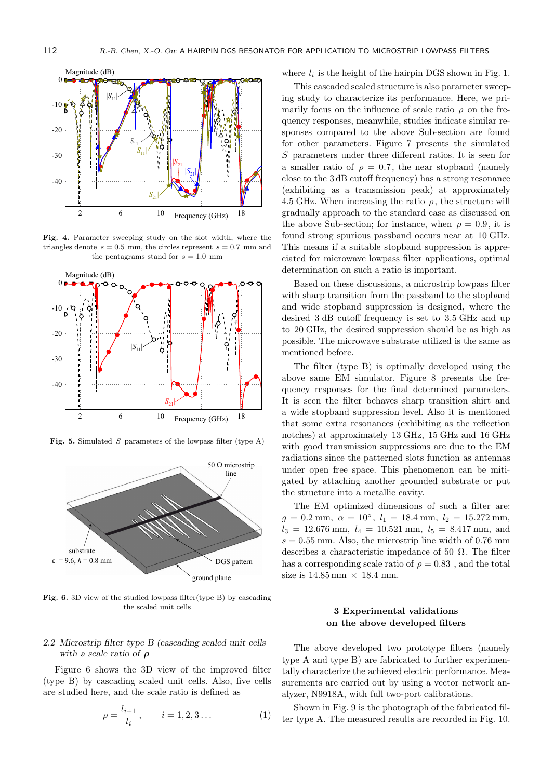

Fig. 4. Parameter sweeping study on the slot width, where the triangles denote  $s = 0.5$  mm, the circles represent  $s = 0.7$  mm and the pentagrams stand for  $s = 1.0$  mm



Fig. 5. Simulated S parameters of the lowpass filter (type A)



Fig. 6. 3D view of the studied lowpass filter(type B) by cascading the scaled unit cells

# 2.2 Microstrip filter type B (cascading scaled unit cells with a scale ratio of  $\rho$

Figure 6 shows the 3D view of the improved filter (type B) by cascading scaled unit cells. Also, five cells are studied here, and the scale ratio is defined as

$$
\rho = \frac{l_{i+1}}{l_i}, \qquad i = 1, 2, 3 \dots \tag{1}
$$

where  $l_i$  is the height of the hairpin DGS shown in Fig. 1.

This cascaded scaled structure is also parameter sweeping study to characterize its performance. Here, we primarily focus on the influence of scale ratio  $\rho$  on the frequency responses, meanwhile, studies indicate similar responses compared to the above Sub-section are found for other parameters. Figure 7 presents the simulated S parameters under three different ratios. It is seen for a smaller ratio of  $\rho = 0.7$ , the near stopband (namely close to the 3 dB cutoff frequency) has a strong resonance (exhibiting as a transmission peak) at approximately 4.5 GHz. When increasing the ratio  $\rho$ , the structure will gradually approach to the standard case as discussed on the above Sub-section; for instance, when  $\rho = 0.9$ , it is found strong spurious passband occurs near at 10 GHz. This means if a suitable stopband suppression is appreciated for microwave lowpass filter applications, optimal determination on such a ratio is important.

Based on these discussions, a microstrip lowpass filter with sharp transition from the passband to the stopband and wide stopband suppression is designed, where the desired 3 dB cutoff frequency is set to 3.5 GHz and up to 20 GHz, the desired suppression should be as high as possible. The microwave substrate utilized is the same as mentioned before.

The filter (type B) is optimally developed using the above same EM simulator. Figure 8 presents the frequency responses for the final determined parameters. It is seen the filter behaves sharp transition shirt and a wide stopband suppression level. Also it is mentioned that some extra resonances (exhibiting as the reflection notches) at approximately 13 GHz, 15 GHz and 16 GHz with good transmission suppressions are due to the EM radiations since the patterned slots function as antennas under open free space. This phenomenon can be mitigated by attaching another grounded substrate or put the structure into a metallic cavity.

The EM optimized dimensions of such a filter are:  $g = 0.2$  mm,  $\alpha = 10^{\circ}$ ,  $l_1 = 18.4$  mm,  $l_2 = 15.272$  mm,  $l_3 = 12.676$  mm,  $l_4 = 10.521$  mm,  $l_5 = 8.417$  mm, and  $s = 0.55$  mm. Also, the microstrip line width of 0.76 mm describes a characteristic impedance of 50  $\Omega$ . The filter has a corresponding scale ratio of  $\rho = 0.83$ , and the total size is  $14.85 \,\mathrm{mm} \times 18.4 \,\mathrm{mm}$ .

## 3 Experimental validations on the above developed filters

The above developed two prototype filters (namely type A and type B) are fabricated to further experimentally characterize the achieved electric performance. Measurements are carried out by using a vector network analyzer, N9918A, with full two-port calibrations.

Shown in Fig. 9 is the photograph of the fabricated filter type A. The measured results are recorded in Fig. 10.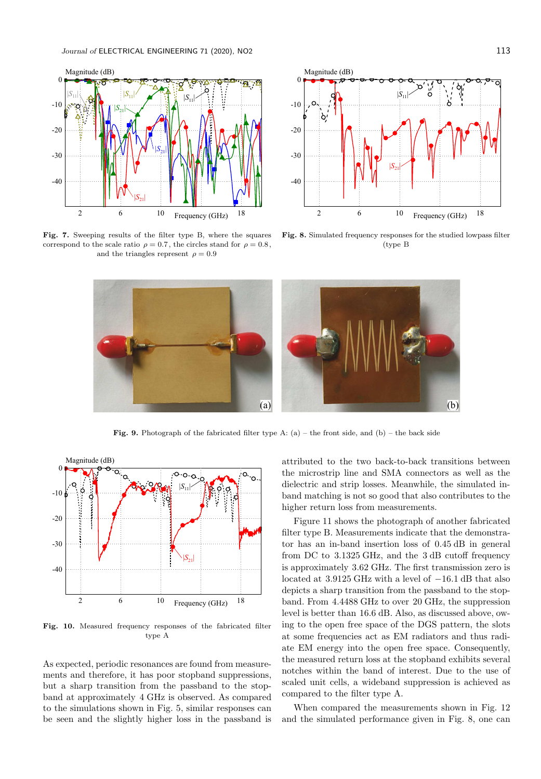

Fig. 7. Sweeping results of the filter type B, where the squares correspond to the scale ratio  $\rho = 0.7$ , the circles stand for  $\rho = 0.8$ , and the triangles represent  $\rho = 0.9$ 



Fig. 8. Simulated frequency responses for the studied lowpass filter (type B



**Fig. 9.** Photograph of the fabricated filter type A: (a) – the front side, and (b) – the back side



Fig. 10. Measured frequency responses of the fabricated filter type A

As expected, periodic resonances are found from measurements and therefore, it has poor stopband suppressions, but a sharp transition from the passband to the stopband at approximately 4 GHz is observed. As compared to the simulations shown in Fig. 5, similar responses can be seen and the slightly higher loss in the passband is attributed to the two back-to-back transitions between the microstrip line and SMA connectors as well as the dielectric and strip losses. Meanwhile, the simulated inband matching is not so good that also contributes to the higher return loss from measurements.

Figure 11 shows the photograph of another fabricated filter type B. Measurements indicate that the demonstrator has an in-band insertion loss of 0.45 dB in general from DC to 3.1325 GHz, and the 3 dB cutoff frequency is approximately 3.62 GHz. The first transmission zero is located at 3.9125 GHz with a level of −16.1 dB that also depicts a sharp transition from the passband to the stopband. From 4.4488 GHz to over 20 GHz, the suppression level is better than 16.6 dB. Also, as discussed above, owing to the open free space of the DGS pattern, the slots at some frequencies act as EM radiators and thus radiate EM energy into the open free space. Consequently, the measured return loss at the stopband exhibits several notches within the band of interest. Due to the use of scaled unit cells, a wideband suppression is achieved as compared to the filter type A.

When compared the measurements shown in Fig. 12 and the simulated performance given in Fig. 8, one can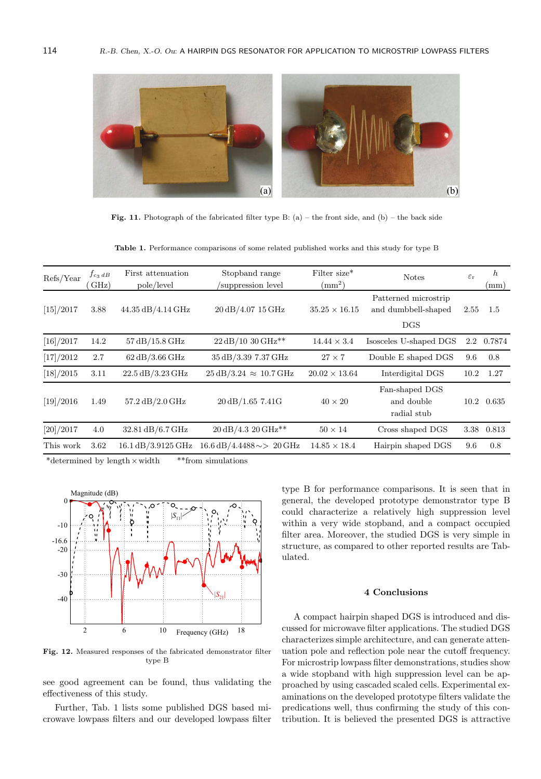

Fig. 11. Photograph of the fabricated filter type B: (a) – the front side, and (b) – the back side

Table 1. Performance comparisons of some related published works and this study for type B

| Refs/Year | $f_{c_3 dB}$<br>$\rm GHz)$ | First attenuation<br>pole/level                 | Stopband range<br>suppression level            | Filter size*<br>$\rm (mm^2)$ | <b>Notes</b>                                                | $\varepsilon_{\rm r}$ | $\boldsymbol{h}$<br>(mm) |
|-----------|----------------------------|-------------------------------------------------|------------------------------------------------|------------------------------|-------------------------------------------------------------|-----------------------|--------------------------|
| [15]/2017 | 3.88                       | 44.35 dB/4.14 GHz                               | 20 dB/4.07 15 GHz                              | $35.25 \times 16.15$         | Patterned microstrip<br>and dumbbell-shaped<br>$_{\rm DGS}$ | 2.55                  | 1.5                      |
| [16]/2017 | 14.2                       | $57\,\mathrm{dB}/15.8\,\mathrm{GHz}$            | 22 dB/10 30 GHz**                              | $14.44 \times 3.4$           | Isosceles U-shaped DGS                                      | $2.2\,$               | 0.7874                   |
| [17]/2012 | 2.7                        | $62\,\mathrm{dB}/3.66\,\mathrm{GHz}$            | 35 dB/3.39 7.37 GHz                            | $27 \times 7$                | Double E shaped DGS                                         | 9.6                   | 0.8                      |
| [18]/2015 | 3.11                       | $22.5 \text{ dB}/3.23 \text{ GHz}$              | $25 \text{ dB}/3.24 \approx 10.7 \text{ GHz}$  | $20.02 \times 13.64$         | Interdigital DGS                                            | 10.2                  | 1.27                     |
| [19]/2016 | 1.49                       | $57.2 \text{ dB}/2.0 \text{ GHz}$               | $20 \text{ dB}/1.65$ 7.41G                     | $40 \times 20$               | Fan-shaped DGS<br>and double<br>radial stub                 | 10.2                  | 0.635                    |
| [20]/2017 | 4.0                        | 32.81 dB/6.7 GHz                                | $20 \text{ dB}/4.3$ 20 GHz**                   | $50 \times 14$               | Cross shaped DGS                                            | 3.38                  | 0.813                    |
| This work | 3.62                       | 16.1 dB/3.9125 GHz                              | $16.6 \text{ dB}/4.4488 \sim > 20 \text{ GHz}$ | $14.85 \times 18.4$          | Hairpin shaped DGS                                          | 9.6                   | 0.8                      |
|           |                            | $*d$ other is an $k$ of the local $k$ is $d^*k$ | $*$ $*$ from $q$ mulations                     |                              |                                                             |                       |                          |

determined by length  $\times$  width  $*$ \*from simulations



Fig. 12. Measured responses of the fabricated demonstrator filter type B

see good agreement can be found, thus validating the effectiveness of this study.

Further, Tab. 1 lists some published DGS based microwave lowpass filters and our developed lowpass filter type B for performance comparisons. It is seen that in general, the developed prototype demonstrator type B could characterize a relatively high suppression level within a very wide stopband, and a compact occupied filter area. Moreover, the studied DGS is very simple in structure, as compared to other reported results are Tabulated.

#### 4 Conclusions

A compact hairpin shaped DGS is introduced and discussed for microwave filter applications. The studied DGS characterizes simple architecture, and can generate attenuation pole and reflection pole near the cutoff frequency. For microstrip lowpass filter demonstrations, studies show a wide stopband with high suppression level can be approached by using cascaded scaled cells. Experimental examinations on the developed prototype filters validate the predications well, thus confirming the study of this contribution. It is believed the presented DGS is attractive